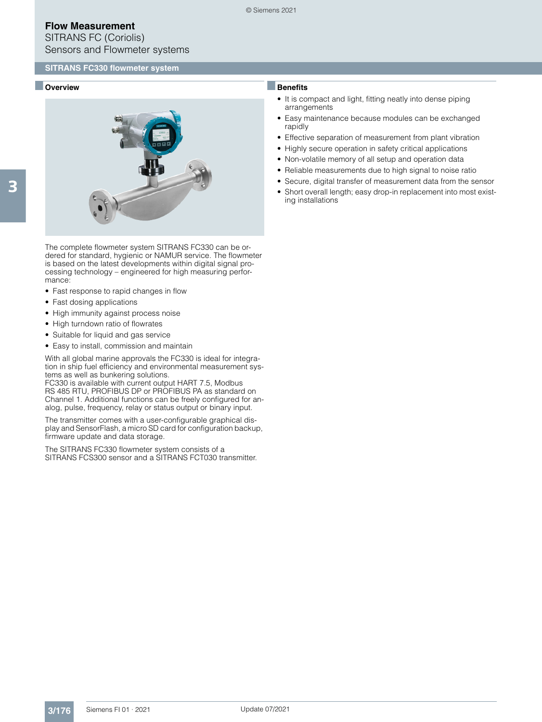SITRANS FC (Coriolis) Sensors and Flowmeter systems

### ■ **Overview**



The complete flowmeter system SITRANS FC330 can be ordered for standard, hygienic or NAMUR service. The flowmeter is based on the latest developments within digital signal processing technology – engineered for high measuring performance:

- Fast response to rapid changes in flow
- Fast dosing applications
- High immunity against process noise
- High turndown ratio of flowrates
- Suitable for liquid and gas service
- Easy to install, commission and maintain

With all global marine approvals the FC330 is ideal for integration in ship fuel efficiency and environmental measurement systems as well as bunkering solutions.

FC330 is available with current output HART 7.5, Modbus RS 485 RTU, PROFIBUS DP or PROFIBUS PA as standard on Channel 1. Additional functions can be freely configured for analog, pulse, frequency, relay or status output or binary input.

The transmitter comes with a user-configurable graphical display and SensorFlash, a micro SD card for configuration backup, firmware update and data storage.

The SITRANS FC330 flowmeter system consists of a SITRANS FCS300 sensor and a SITRANS FCT030 transmitter.

## ■**Benefits**

- It is compact and light, fitting neatly into dense piping arrangements
- Easy maintenance because modules can be exchanged rapidly
- Effective separation of measurement from plant vibration
- Highly secure operation in safety critical applications
- Non-volatile memory of all setup and operation data
- Reliable measurements due to high signal to noise ratio
- Secure, digital transfer of measurement data from the sensor
- Short overall length; easy drop-in replacement into most existing installations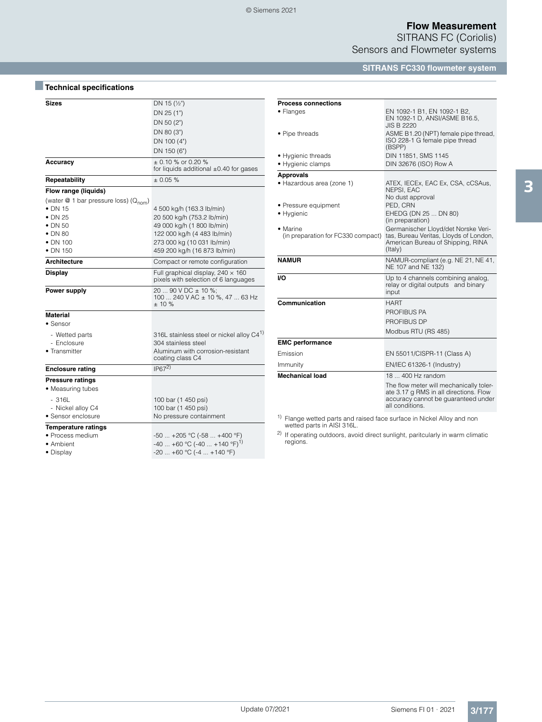SITRANS FC (Coriolis) Sensors and Flowmeter systems

#### **SITRANS FC330 flowmeter system**

| Sizes                                             | DN 15 $(\frac{1}{2})$                                                            |  |
|---------------------------------------------------|----------------------------------------------------------------------------------|--|
|                                                   | DN 25 (1")                                                                       |  |
|                                                   | DN 50 (2")                                                                       |  |
|                                                   | DN 80 (3")                                                                       |  |
|                                                   | DN 100 (4")                                                                      |  |
|                                                   | DN 150 (6")                                                                      |  |
| Accuracy                                          | $+0.10\%$ or 0.20 %<br>for liquids additional $\pm 0.40$ for gases               |  |
| Repeatability                                     | $+0.05%$                                                                         |  |
| Flow range (liquids)                              |                                                                                  |  |
| (water @ 1 bar pressure loss) (Q <sub>nom</sub> ) |                                                                                  |  |
| $\bullet$ DN 15                                   | 4 500 kg/h (163.3 lb/min)                                                        |  |
| $\bullet$ DN 25                                   | 20 500 kg/h (753.2 lb/min)                                                       |  |
| • DN 50                                           | 49 000 kg/h (1 800 lb/min)                                                       |  |
| $\bullet$ DN 80                                   | 122 000 kg/h (4 483 lb/min)                                                      |  |
| $\bullet$ DN 100                                  | 273 000 kg (10 031 lb/min)                                                       |  |
| $\bullet$ DN 150                                  | 459 200 kg/h (16 873 lb/min)                                                     |  |
| <b>Architecture</b>                               | Compact or remote configuration                                                  |  |
| <b>Display</b>                                    | Full graphical display, $240 \times 160$<br>pixels with selection of 6 languages |  |
| Power supply                                      | 20  90 V DC ± 10 %;<br>100  240 V AC ± 10 %, 47  63 Hz<br>± 10%                  |  |
| <b>Material</b>                                   |                                                                                  |  |
| • Sensor                                          |                                                                                  |  |
| - Wetted parts                                    | 316L stainless steel or nickel alloy C4 <sup>1)</sup>                            |  |
| - Enclosure                                       | 304 stainless steel                                                              |  |
| • Transmitter                                     | Aluminum with corrosion-resistant<br>coating class C4                            |  |
| <b>Enclosure rating</b>                           | IP67 <sup>2</sup>                                                                |  |
| <b>Pressure ratings</b>                           |                                                                                  |  |
| • Measuring tubes                                 |                                                                                  |  |
| $-316L$                                           | 100 bar (1 450 psi)                                                              |  |
| - Nickel alloy C4                                 | 100 bar (1 450 psi)                                                              |  |
| · Sensor enclosure                                | No pressure containment                                                          |  |
| <b>Temperature ratings</b>                        |                                                                                  |  |
| • Process medium                                  | $-50$ $+205$ °C ( $-58$ $+400$ °F)                                               |  |
| • Ambient                                         | $-40$ +60 °C (-40  +140 °F) <sup>1)</sup>                                        |  |
| • Display                                         | $-20$ +60 °C (-4  +140 °F)                                                       |  |

■**Technical specifications**

| <b>Process connections</b>                                                        |                                                                                                                                             |  |  |
|-----------------------------------------------------------------------------------|---------------------------------------------------------------------------------------------------------------------------------------------|--|--|
| • Flanges                                                                         | EN 1092-1 B1, EN 1092-1 B2,<br>EN 1092-1 D, ANSI/ASME B16.5,<br><b>JIS B 2220</b>                                                           |  |  |
| • Pipe threads                                                                    | ASME B1.20 (NPT) female pipe thread,<br>ISO 228-1 G female pipe thread<br>(BSPP)                                                            |  |  |
| • Hygienic threads                                                                | DIN 11851, SMS 1145                                                                                                                         |  |  |
| • Hygienic clamps                                                                 | DIN 32676 (ISO) Row A                                                                                                                       |  |  |
| <b>Approvals</b>                                                                  |                                                                                                                                             |  |  |
| · Hazardous area (zone 1)                                                         | ATEX, IECEx, EAC Ex, CSA, cCSAus,<br>NEPSI, EAC<br>No dust approval                                                                         |  |  |
| • Pressure equipment                                                              | PED, CRN                                                                                                                                    |  |  |
| • Hygienic                                                                        | EHEDG (DN 25  DN 80)<br>(in preparation)                                                                                                    |  |  |
| • Marine<br>(in preparation for FC330 compact)                                    | Germanischer Lloyd/det Norske Veri-<br>tas, Bureau Veritas, Lloyds of London,<br>American Bureau of Shipping, RINA<br>(Italy)               |  |  |
| <b>NAMUR</b>                                                                      | NAMUR-compliant (e.g. NE 21, NE 41,<br>NE 107 and NE 132)                                                                                   |  |  |
| VO.                                                                               | Up to 4 channels combining analog,<br>relay or digital outputs and binary<br>input                                                          |  |  |
| Communication                                                                     | HART                                                                                                                                        |  |  |
|                                                                                   | PROFIBUS PA                                                                                                                                 |  |  |
|                                                                                   | <b>PROFIBUS DP</b>                                                                                                                          |  |  |
|                                                                                   | Modbus RTU (RS 485)                                                                                                                         |  |  |
| <b>EMC</b> performance                                                            |                                                                                                                                             |  |  |
| Emission                                                                          | EN 55011/CISPR-11 (Class A)                                                                                                                 |  |  |
| Immunity                                                                          | EN/IEC 61326-1 (Industry)                                                                                                                   |  |  |
| <b>Mechanical load</b>                                                            | 18  400 Hz random                                                                                                                           |  |  |
|                                                                                   | The flow meter will mechanically toler-<br>ate 3.17 g RMS in all directions. Flow<br>accuracy cannot be guaranteed under<br>all conditions. |  |  |
| <sup>1)</sup> Flange wetted parts and raised face surface in Nickel Alloy and non |                                                                                                                                             |  |  |

1) Flange wetted parts and raised face surface in Nickel Alloy and non wetted parts in AISI 316L.

<sup>2)</sup> If operating outdoors, avoid direct sunlight, paritcularly in warm climatic regions.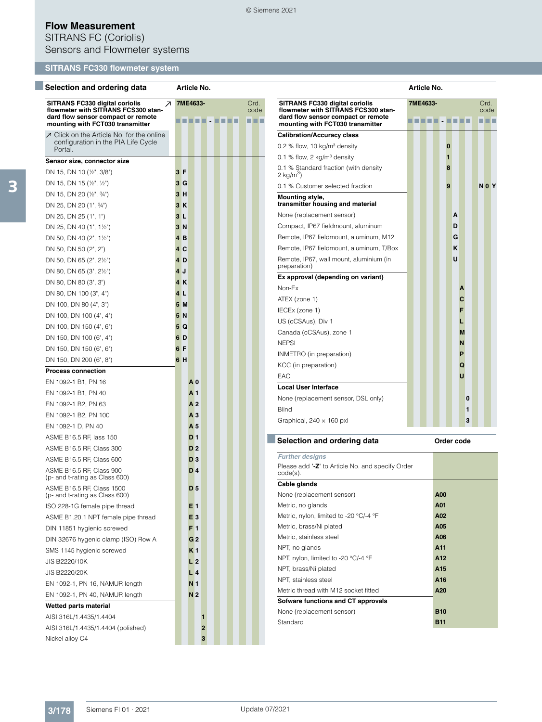SITRANS FC (Coriolis) Sensors and Flowmeter systems

# **SITRANS FC330 flowmeter system**

| Selection and ordering data                                                                                                                          | Article No.    |                        |                                                                                                                                                 | Article No.            |                       |
|------------------------------------------------------------------------------------------------------------------------------------------------------|----------------|------------------------|-------------------------------------------------------------------------------------------------------------------------------------------------|------------------------|-----------------------|
| SITRANS FC330 digital coriolis<br>↗<br>flowmeter with SITRANS FCS300 stan-<br>dard flow sensor compact or remote<br>mounting with FCT030 transmitter | 7ME4633-       | Ord.<br>code<br>86 E B | SITRANS FC330 digital coriolis<br>flowmeter with SITRANS FCS300 stan-<br>dard flow sensor compact or remote<br>mounting with FCT030 transmitter | 7ME4633-               | Ord.<br>code<br>T T T |
| ○ Click on the Article No. for the online                                                                                                            |                |                        | <b>Calibration/Accuracy class</b>                                                                                                               |                        |                       |
| configuration in the PIA Life Cycle                                                                                                                  |                |                        | 0.2 % flow, 10 $kg/m3$ density                                                                                                                  | $\bf{0}$               |                       |
| Portal.<br>Sensor size, connector size                                                                                                               |                |                        | 0.1 % flow, 2 $kg/m3$ density                                                                                                                   | $\mathbf{1}$           |                       |
| DN 15, DN 10 (1/2", 3/8")                                                                                                                            | 3F             |                        | 0.1 % Standard fraction (with density                                                                                                           | 8                      |                       |
| DN 15, DN 15 $(\frac{1}{2}, \frac{1}{2})$                                                                                                            | 3 <sub>G</sub> |                        | $2 \text{ kg/m}^3$                                                                                                                              |                        |                       |
| DN 15, DN 20 (1/2", 3/4")                                                                                                                            | 3H             |                        | 0.1 % Customer selected fraction                                                                                                                | 9                      | N <sub>0</sub> Y      |
| DN 25, DN 20 (1", 34")                                                                                                                               | 3K             |                        | Mounting style,<br>transmitter housing and material                                                                                             |                        |                       |
| DN 25, DN 25 (1", 1")                                                                                                                                | 3L             |                        | None (replacement sensor)                                                                                                                       | A                      |                       |
| DN 25, DN 40 $(1", 1\frac{1}{2})$                                                                                                                    | 3N             |                        | Compact, IP67 fieldmount, aluminum                                                                                                              | D                      |                       |
| DN 50, DN 40 $(2^{\circ}, 1\frac{1}{2^{\circ}})$                                                                                                     | 4B             |                        | Remote, IP67 fieldmount, aluminum, M12                                                                                                          | G                      |                       |
| DN 50, DN 50 (2", 2")                                                                                                                                | 4C             |                        | Remote, IP67 fieldmount, aluminum, T/Box                                                                                                        | ĸ                      |                       |
| DN 50, DN 65 (2", 21/2")                                                                                                                             | 4 D            |                        | Remote, IP67, wall mount, aluminium (in                                                                                                         | U                      |                       |
| DN 80, DN 65 (3", 2½")                                                                                                                               | 4J             |                        | preparation)                                                                                                                                    |                        |                       |
| DN 80, DN 80 (3", 3")                                                                                                                                | 4K             |                        | Ex approval (depending on variant)                                                                                                              |                        |                       |
| DN 80, DN 100 (3", 4")                                                                                                                               | 4 <sub>L</sub> |                        | Non-Ex                                                                                                                                          | A                      |                       |
| DN 100, DN 80 (4", 3")                                                                                                                               | 5M             |                        | ATEX (zone 1)                                                                                                                                   | $\mathbf c$            |                       |
| DN 100, DN 100 (4", 4")                                                                                                                              | 5N             |                        | IECEx (zone 1)                                                                                                                                  | F                      |                       |
| DN 100, DN 150 (4", 6")                                                                                                                              | 5Q             |                        | US (cCSAus), Div 1                                                                                                                              | L                      |                       |
| DN 150, DN 100 (6", 4")                                                                                                                              | 6 D            |                        | Canada (cCSAus), zone 1                                                                                                                         | M                      |                       |
| DN 150, DN 150 (6", 6")                                                                                                                              | 6 F            |                        | <b>NEPSI</b>                                                                                                                                    | N                      |                       |
| DN 150, DN 200 (6", 8")                                                                                                                              | 6H             |                        | INMETRO (in preparation)                                                                                                                        | P                      |                       |
| <b>Process connection</b>                                                                                                                            |                |                        | KCC (in preparation)                                                                                                                            | Q                      |                       |
| EN 1092-1 B1, PN 16                                                                                                                                  | A <sub>0</sub> |                        | EAC                                                                                                                                             | $\mathbf{U}$           |                       |
| EN 1092-1 B1, PN 40                                                                                                                                  | A <sub>1</sub> |                        | <b>Local User Interface</b>                                                                                                                     |                        |                       |
| EN 1092-1 B2, PN 63                                                                                                                                  | A <sub>2</sub> |                        | None (replacement sensor, DSL only)                                                                                                             | 0                      |                       |
| EN 1092-1 B2, PN 100                                                                                                                                 | A <sub>3</sub> |                        | <b>Blind</b>                                                                                                                                    | 1                      |                       |
| EN 1092-1 D, PN 40                                                                                                                                   | A <sub>5</sub> |                        | Graphical, $240 \times 160$ pxl                                                                                                                 | 3                      |                       |
| ASME B16.5 RF, lass 150                                                                                                                              | D <sub>1</sub> |                        |                                                                                                                                                 |                        |                       |
| ASME B16.5 RF, Class 300                                                                                                                             | D <sub>2</sub> |                        | Selection and ordering data                                                                                                                     | Order code             |                       |
| ASME B16.5 RF, Class 600                                                                                                                             | D <sub>3</sub> |                        | <b>Further designs</b>                                                                                                                          |                        |                       |
| ASME B16.5 RF, Class 900<br>(p- and t-rating as Class 600)                                                                                           | D <sub>4</sub> |                        | Please add "-Z" to Article No. and specify Order<br>code(s).                                                                                    |                        |                       |
| ASME B16.5 RF, Class 1500                                                                                                                            | D <sub>5</sub> |                        | Cable glands                                                                                                                                    |                        |                       |
| (p- and t-rating as Class 600)                                                                                                                       |                |                        | None (replacement sensor)                                                                                                                       | A00                    |                       |
| ISO 228-1G female pipe thread                                                                                                                        | E1             |                        | Metric, no glands                                                                                                                               | A01                    |                       |
| ASME B1.20.1 NPT female pipe thread                                                                                                                  | E <sub>3</sub> |                        | Metric, nylon, limited to -20 °C/-4 °F                                                                                                          | A02                    |                       |
| DIN 11851 hygienic screwed                                                                                                                           | F1             |                        | Metric, brass/Ni plated                                                                                                                         | A05                    |                       |
| DIN 32676 hygenic clamp (ISO) Row A                                                                                                                  | G <sub>2</sub> |                        | Metric, stainless steel                                                                                                                         | A06                    |                       |
| SMS 1145 hygienic screwed                                                                                                                            | K <sub>1</sub> |                        | NPT, no glands                                                                                                                                  | A11                    |                       |
| JIS B2220/10K                                                                                                                                        | L <sub>2</sub> |                        | NPT, nylon, limited to -20 °C/-4 °F                                                                                                             | A12                    |                       |
| JIS B2220/20K                                                                                                                                        | L <sub>4</sub> |                        | NPT, brass/Ni plated<br>NPT, stainless steel                                                                                                    | A <sub>15</sub><br>A16 |                       |
| EN 1092-1, PN 16, NAMUR length                                                                                                                       | N <sub>1</sub> |                        | Metric thread with M12 socket fitted                                                                                                            | A20                    |                       |
| EN 1092-1, PN 40, NAMUR length                                                                                                                       | N <sub>2</sub> |                        | Sofware functions and CT approvals                                                                                                              |                        |                       |
| Wetted parts material                                                                                                                                |                |                        | None (replacement sensor)                                                                                                                       | <b>B10</b>             |                       |
| AISI 316L/1.4435/1.4404                                                                                                                              | 1              |                        | Standard                                                                                                                                        | <b>B11</b>             |                       |
| AISI 316L/1.4435/1.4404 (polished)                                                                                                                   | 2              |                        |                                                                                                                                                 |                        |                       |
| Nickel alloy C4                                                                                                                                      | 3              |                        |                                                                                                                                                 |                        |                       |

© Siemens 2021